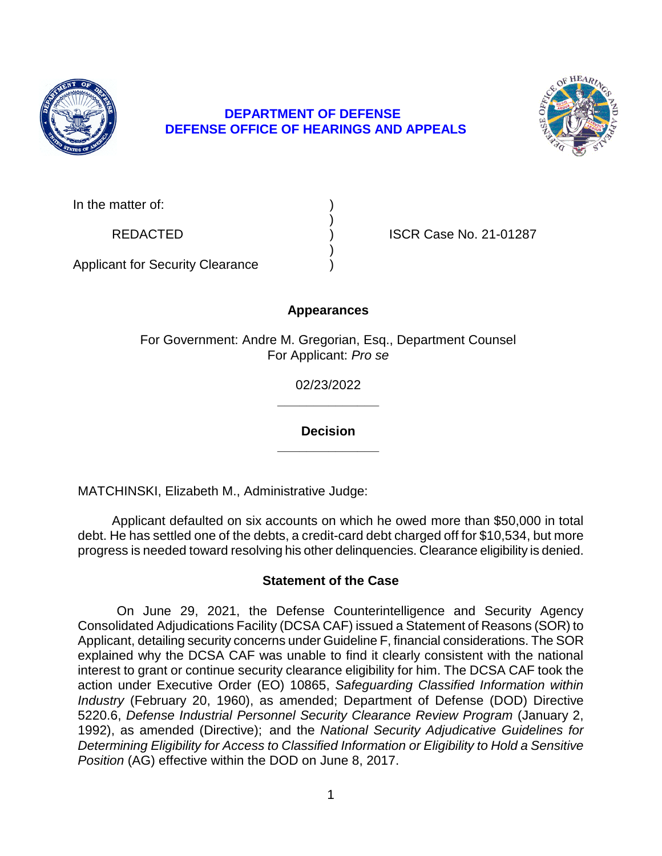

# **DEPARTMENT OF DEFENSE DEFENSE OFFICE OF HEARINGS AND APPEALS**



| In the matter of:                       |  |
|-----------------------------------------|--|
| <b>REDACTED</b>                         |  |
| <b>Applicant for Security Clearance</b> |  |

**ISCR Case No. 21-01287** 

**Appearances** 

For Government: Andre M. Gregorian, Esq., Department Counsel For Applicant: *Pro se* 

> **\_\_\_\_\_\_\_\_\_\_\_\_\_\_**  02/23/2022

> **\_\_\_\_\_\_\_\_\_\_\_\_\_\_ Decision**

MATCHINSKI, Elizabeth M., Administrative Judge:

 Applicant defaulted on six accounts on which he owed more than \$50,000 in total debt. He has settled one of the debts, a credit-card debt charged off for \$10,534, but more progress is needed toward resolving his other delinquencies. Clearance eligibility is denied.

## **Statement of the Case**

 On June 29, 2021, the Defense Counterintelligence and Security Agency Consolidated Adjudications Facility (DCSA CAF) issued a Statement of Reasons (SOR) to Applicant, detailing security concerns under Guideline F, financial considerations. The SOR explained why the DCSA CAF was unable to find it clearly consistent with the national interest to grant or continue security clearance eligibility for him. The DCSA CAF took the  action under Executive Order (EO) 10865, *Safeguarding Classified Information within Industry* (February 20, 1960), as amended; Department of Defense (DOD) Directive 5220.6, *Defense Industrial Personnel Security Clearance Review Program* (January 2, 1992), as amended (Directive); and the *National Security Adjudicative Guidelines for Determining Eligibility for Access to Classified Information or Eligibility to Hold a Sensitive Position* (AG) effective within the DOD on June 8, 2017.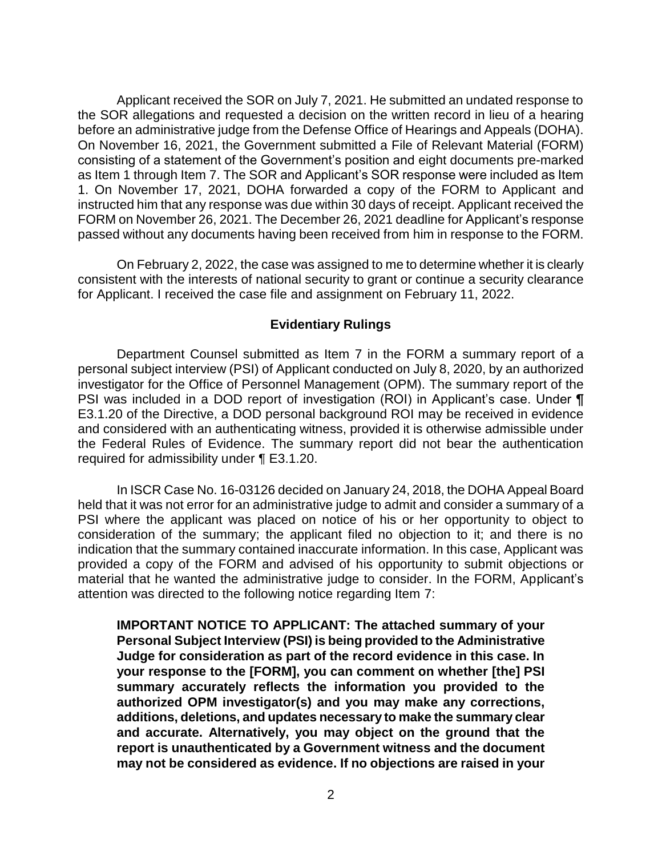Applicant received the SOR on July 7, 2021. He submitted an undated response to the SOR allegations and requested a decision on the written record in lieu of a hearing before an administrative judge from the Defense Office of Hearings and Appeals (DOHA). On November 16, 2021, the Government submitted a File of Relevant Material (FORM) consisting of a statement of the Government's position and eight documents pre-marked as Item 1 through Item 7. The SOR and Applicant's SOR response were included as Item 1. On November 17, 2021, DOHA forwarded a copy of the FORM to Applicant and instructed him that any response was due within 30 days of receipt. Applicant received the FORM on November 26, 2021. The December 26, 2021 deadline for Applicant's response passed without any documents having been received from him in response to the FORM.

 On February 2, 2022, the case was assigned to me to determine whether it is clearly consistent with the interests of national security to grant or continue a security clearance for Applicant. I received the case file and assignment on February 11, 2022.

## **Evidentiary Rulings**

 Department Counsel submitted as Item 7 in the FORM a summary report of a personal subject interview (PSI) of Applicant conducted on July 8, 2020, by an authorized investigator for the Office of Personnel Management (OPM). The summary report of the PSI was included in a DOD report of investigation (ROI) in Applicant's case. Under ¶ E3.1.20 of the Directive, a DOD personal background ROI may be received in evidence the Federal Rules of Evidence. The summary report did not bear the authentication and considered with an authenticating witness, provided it is otherwise admissible under required for admissibility under ¶ E3.1.20.

 In ISCR Case No. 16-03126 decided on January 24, 2018, the DOHA Appeal Board held that it was not error for an administrative judge to admit and consider a summary of a PSI where the applicant was placed on notice of his or her opportunity to object to consideration of the summary; the applicant filed no objection to it; and there is no indication that the summary contained inaccurate information. In this case, Applicant was provided a copy of the FORM and advised of his opportunity to submit objections or material that he wanted the administrative judge to consider. In the FORM, Applicant's attention was directed to the following notice regarding Item 7:

**IMPORTANT NOTICE TO APPLICANT: The attached summary of your Personal Subject Interview (PSI) is being provided to the Administrative Judge for consideration as part of the record evidence in this case. In your response to the [FORM], you can comment on whether [the] PSI summary accurately reflects the information you provided to the authorized OPM investigator(s) and you may make any corrections, additions, deletions, and updates necessary to make the summary clear and accurate. Alternatively, you may object on the ground that the report is unauthenticated by a Government witness and the document may not be considered as evidence. If no objections are raised in your**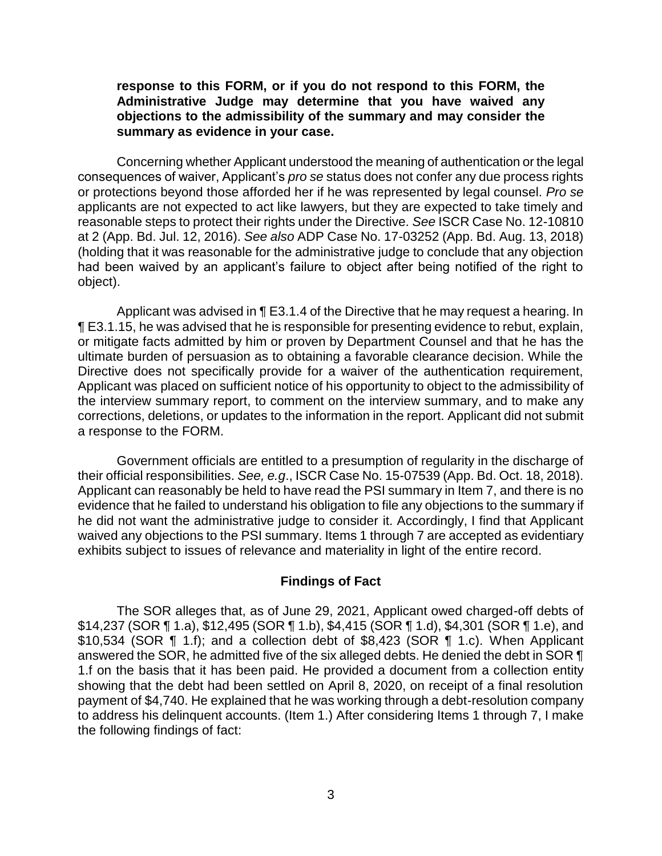**response to this FORM, or if you do not respond to this FORM, the Administrative Judge may determine that you have waived any objections to the admissibility of the summary and may consider the summary as evidence in your case.** 

 Concerning whether Applicant understood the meaning of authentication or the legal consequences of waiver, Applicant's *pro se* status does not confer any due process rights or protections beyond those afforded her if he was represented by legal counsel. *Pro se*  applicants are not expected to act like lawyers, but they are expected to take timely and reasonable steps to protect their rights under the Directive. *See* ISCR Case No. 12-10810 at 2 (App. Bd. Jul. 12, 2016). *See also* ADP Case No. 17-03252 (App. Bd. Aug. 13, 2018) (holding that it was reasonable for the administrative judge to conclude that any objection had been waived by an applicant's failure to object after being notified of the right to object).

Applicant was advised in ¶ E3.1.4 of the Directive that he may request a hearing. In **TE** E3.1.15, he was advised that he is responsible for presenting evidence to rebut, explain, or mitigate facts admitted by him or proven by Department Counsel and that he has the ultimate burden of persuasion as to obtaining a favorable clearance decision. While the Directive does not specifically provide for a waiver of the authentication requirement, Applicant was placed on sufficient notice of his opportunity to object to the admissibility of the interview summary report, to comment on the interview summary, and to make any corrections, deletions, or updates to the information in the report. Applicant did not submit a response to the FORM.

 Government officials are entitled to a presumption of regularity in the discharge of their official responsibilities. *See, e.g*., ISCR Case No. 15-07539 (App. Bd. Oct. 18, 2018). Applicant can reasonably be held to have read the PSI summary in Item 7, and there is no evidence that he failed to understand his obligation to file any objections to the summary if he did not want the administrative judge to consider it. Accordingly, I find that Applicant waived any objections to the PSI summary. Items 1 through 7 are accepted as evidentiary exhibits subject to issues of relevance and materiality in light of the entire record.

#### **Findings of Fact**

The SOR alleges that, as of June 29, 2021, Applicant owed charged-off debts of \$14,237 (SOR ¶ 1.a), \$12,495 (SOR ¶ 1.b), \$4,415 (SOR ¶ 1.d), \$4,301 (SOR ¶ 1.e), and \$10,534 (SOR ¶ 1.f); and a collection debt of \$8,423 (SOR ¶ 1.c). When Applicant answered the SOR, he admitted five of the six alleged debts. He denied the debt in SOR ¶ 1.f on the basis that it has been paid. He provided a document from a collection entity showing that the debt had been settled on April 8, 2020, on receipt of a final resolution payment of \$4,740. He explained that he was working through a debt-resolution company to address his delinquent accounts. (Item 1.) After considering Items 1 through 7, I make the following findings of fact: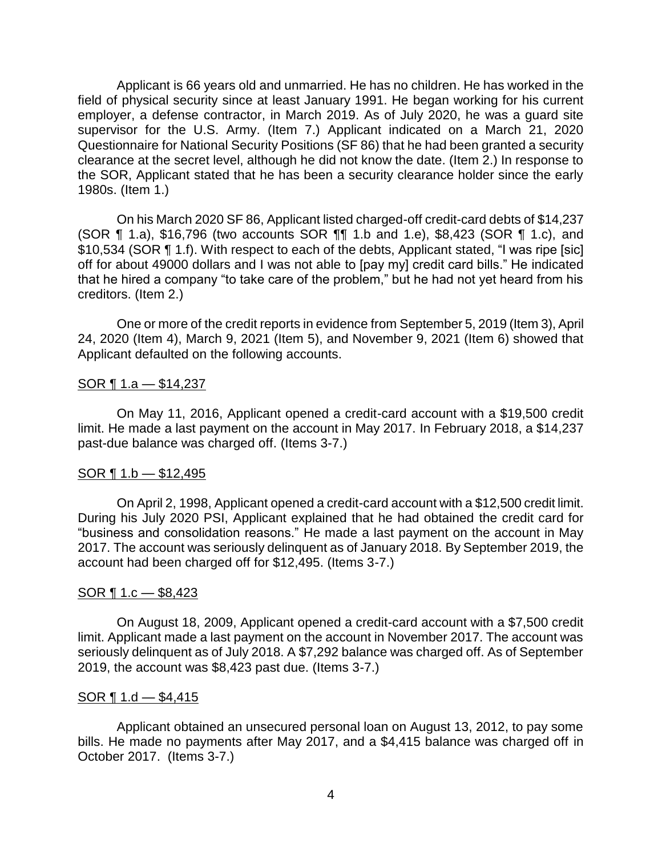Applicant is 66 years old and unmarried. He has no children. He has worked in the field of physical security since at least January 1991. He began working for his current employer, a defense contractor, in March 2019. As of July 2020, he was a guard site supervisor for the U.S. Army. (Item 7.) Applicant indicated on a March 21, 2020 Questionnaire for National Security Positions (SF 86) that he had been granted a security clearance at the secret level, although he did not know the date. (Item 2.) In response to the SOR, Applicant stated that he has been a security clearance holder since the early 1980s. (Item 1.)

 (SOR ¶ 1.a), \$16,796 (two accounts SOR ¶¶ 1.b and 1.e), \$8,423 (SOR ¶ 1.c), and \$10,534 (SOR ¶ 1.f). With respect to each of the debts, Applicant stated, "I was ripe [sic] off for about 49000 dollars and I was not able to [pay my] credit card bills." He indicated On his March 2020 SF 86, Applicant listed charged-off credit-card debts of \$14,237 that he hired a company "to take care of the problem," but he had not yet heard from his creditors. (Item 2.)

 One or more of the credit reports in evidence from September 5, 2019 (Item 3), April 24, 2020 (Item 4), March 9, 2021 (Item 5), and November 9, 2021 (Item 6) showed that Applicant defaulted on the following accounts.

### $SOR \, \P \, 1.a - $14,237$

 On May 11, 2016, Applicant opened a credit-card account with a \$19,500 credit limit. He made a last payment on the account in May 2017. In February 2018, a \$14,237 past-due balance was charged off. (Items 3-7.)

### $SOR \, 1.b \, - \, $12,495$

 On April 2, 1998, Applicant opened a credit-card account with a \$12,500 credit limit. During his July 2020 PSI, Applicant explained that he had obtained the credit card for "business and consolidation reasons." He made a last payment on the account in May 2017. The account was seriously delinquent as of January 2018. By September 2019, the account had been charged off for \$12,495. (Items 3-7.)

### $SOR \, \P 1.c - $8,423$

 On August 18, 2009, Applicant opened a credit-card account with a \$7,500 credit limit. Applicant made a last payment on the account in November 2017. The account was seriously delinquent as of July 2018. A \$7,292 balance was charged off. As of September 2019, the account was \$8,423 past due. (Items 3-7.)

### SOR  $\P$  1.d — \$4,415

 bills. He made no payments after May 2017, and a \$4,415 balance was charged off in Applicant obtained an unsecured personal loan on August 13, 2012, to pay some October 2017. (Items 3-7.)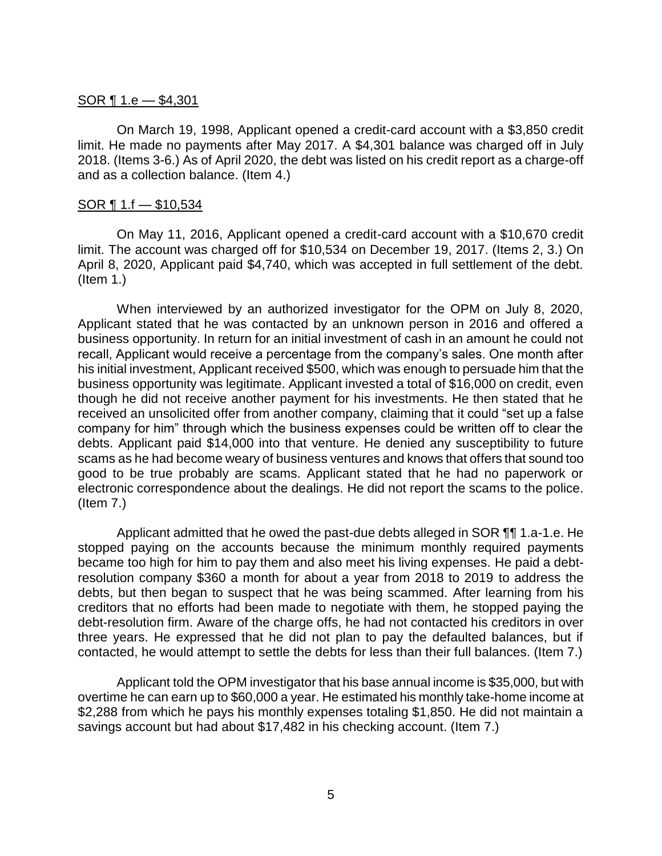### SOR ¶ 1.e — \$4,301

 On March 19, 1998, Applicant opened a credit-card account with a \$3,850 credit limit. He made no payments after May 2017. A \$4,301 balance was charged off in July 2018. (Items 3-6.) As of April 2020, the debt was listed on his credit report as a charge-off and as a collection balance. (Item 4.)

#### $SOR \, \P \, 1.f \, - \, \$10,534$

 On May 11, 2016, Applicant opened a credit-card account with a \$10,670 credit limit. The account was charged off for \$10,534 on December 19, 2017. (Items 2, 3.) On April 8, 2020, Applicant paid \$4,740, which was accepted in full settlement of the debt. (Item 1.)

 When interviewed by an authorized investigator for the OPM on July 8, 2020, Applicant stated that he was contacted by an unknown person in 2016 and offered a business opportunity. In return for an initial investment of cash in an amount he could not recall, Applicant would receive a percentage from the company's sales. One month after his initial investment, Applicant received \$500, which was enough to persuade him that the business opportunity was legitimate. Applicant invested a total of \$16,000 on credit, even though he did not receive another payment for his investments. He then stated that he received an unsolicited offer from another company, claiming that it could "set up a false company for him" through which the business expenses could be written off to clear the debts. Applicant paid \$14,000 into that venture. He denied any susceptibility to future scams as he had become weary of business ventures and knows that offers that sound too good to be true probably are scams. Applicant stated that he had no paperwork or electronic correspondence about the dealings. He did not report the scams to the police. (Item 7.)

Applicant admitted that he owed the past-due debts alleged in SOR  $\P\P$  1.a-1.e. He stopped paying on the accounts because the minimum monthly required payments resolution company \$360 a month for about a year from 2018 to 2019 to address the debts, but then began to suspect that he was being scammed. After learning from his creditors that no efforts had been made to negotiate with them, he stopped paying the three years. He expressed that he did not plan to pay the defaulted balances, but if became too high for him to pay them and also meet his living expenses. He paid a debtdebt-resolution firm. Aware of the charge offs, he had not contacted his creditors in over contacted, he would attempt to settle the debts for less than their full balances. (Item 7.)

 Applicant told the OPM investigator that his base annual income is \$35,000, but with overtime he can earn up to \$60,000 a year. He estimated his monthly take-home income at \$2,288 from which he pays his monthly expenses totaling \$1,850. He did not maintain a savings account but had about \$17,482 in his checking account. (Item 7.)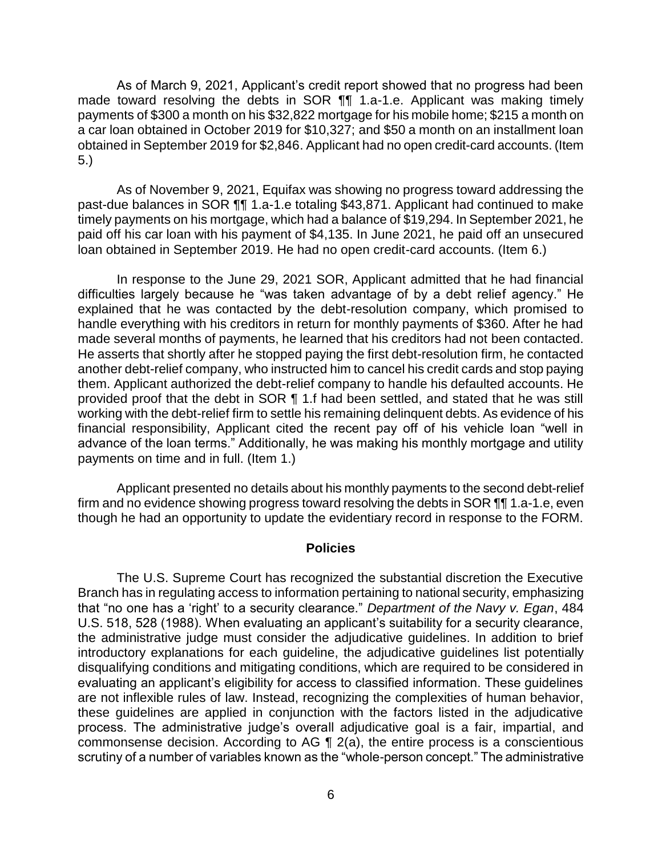As of March 9, 2021, Applicant's credit report showed that no progress had been made toward resolving the debts in SOR **[1]** 1.a-1.e. Applicant was making timely payments of \$300 a month on his \$32,822 mortgage for his mobile home; \$215 a month on a car loan obtained in October 2019 for \$10,327; and \$50 a month on an installment loan obtained in September 2019 for \$2,846. Applicant had no open credit-card accounts. (Item 5.)

 As of November 9, 2021, Equifax was showing no progress toward addressing the past-due balances in SOR ¶¶ 1.a-1.e totaling \$43,871. Applicant had continued to make timely payments on his mortgage, which had a balance of \$19,294. In September 2021, he paid off his car loan with his payment of \$4,135. In June 2021, he paid off an unsecured loan obtained in September 2019. He had no open credit-card accounts. (Item 6.)

In response to the June 29, 2021 SOR, Applicant admitted that he had financial difficulties largely because he "was taken advantage of by a debt relief agency." He explained that he was contacted by the debt-resolution company, which promised to handle everything with his creditors in return for monthly payments of \$360. After he had made several months of payments, he learned that his creditors had not been contacted. He asserts that shortly after he stopped paying the first debt-resolution firm, he contacted another debt-relief company, who instructed him to cancel his credit cards and stop paying them. Applicant authorized the debt-relief company to handle his defaulted accounts. He provided proof that the debt in SOR ¶ 1.f had been settled, and stated that he was still working with the debt-relief firm to settle his remaining delinquent debts. As evidence of his financial responsibility, Applicant cited the recent pay off of his vehicle loan "well in advance of the loan terms." Additionally, he was making his monthly mortgage and utility payments on time and in full. (Item 1.)

 Applicant presented no details about his monthly payments to the second debt-relief firm and no evidence showing progress toward resolving the debts in SOR ¶¶ 1.a-1.e, even though he had an opportunity to update the evidentiary record in response to the FORM.

#### **Policies**

The U.S. Supreme Court has recognized the substantial discretion the Executive Branch has in regulating access to information pertaining to national security, emphasizing that "no one has a 'right' to a security clearance." *Department of the Navy v. Egan*, 484 U.S. 518, 528 (1988). When evaluating an applicant's suitability for a security clearance, the administrative judge must consider the adjudicative guidelines. In addition to brief introductory explanations for each guideline, the adjudicative guidelines list potentially disqualifying conditions and mitigating conditions, which are required to be considered in evaluating an applicant's eligibility for access to classified information. These guidelines are not inflexible rules of law. Instead, recognizing the complexities of human behavior, these guidelines are applied in conjunction with the factors listed in the adjudicative process. The administrative judge's overall adjudicative goal is a fair, impartial, and commonsense decision. According to AG  $\P$  2(a), the entire process is a conscientious scrutiny of a number of variables known as the "whole-person concept." The administrative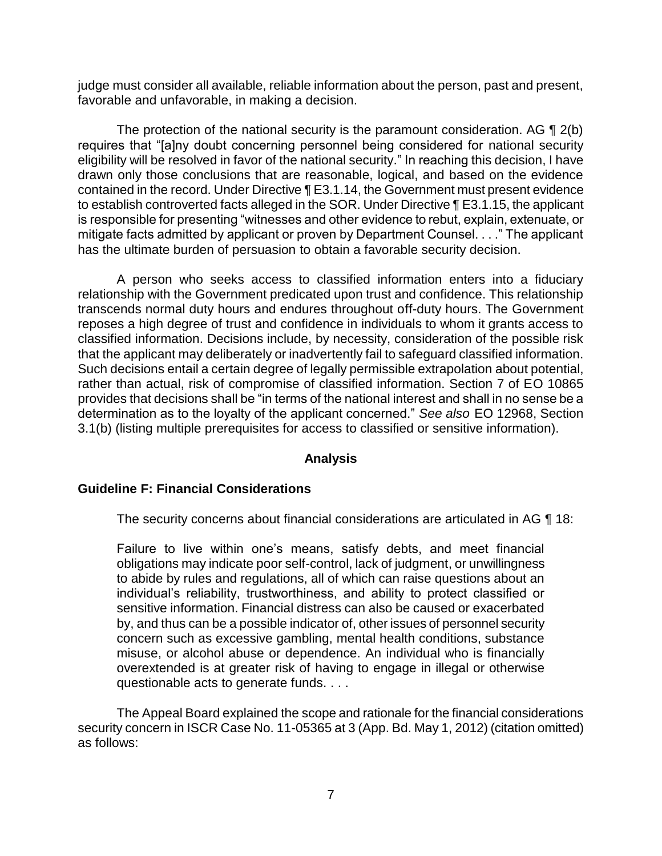judge must consider all available, reliable information about the person, past and present, favorable and unfavorable, in making a decision.

The protection of the national security is the paramount consideration. AG  $\P$  2(b) eligibility will be resolved in favor of the national security." In reaching this decision, I have drawn only those conclusions that are reasonable, logical, and based on the evidence contained in the record. Under Directive ¶ E3.1.14, the Government must present evidence to establish controverted facts alleged in the SOR. Under Directive ¶ E3.1.15, the applicant is responsible for presenting "witnesses and other evidence to rebut, explain, extenuate, or mitigate facts admitted by applicant or proven by Department Counsel. . . ." The applicant requires that "[a]ny doubt concerning personnel being considered for national security has the ultimate burden of persuasion to obtain a favorable security decision.

 A person who seeks access to classified information enters into a fiduciary relationship with the Government predicated upon trust and confidence. This relationship transcends normal duty hours and endures throughout off-duty hours. The Government reposes a high degree of trust and confidence in individuals to whom it grants access to that the applicant may deliberately or inadvertently fail to safeguard classified information. Such decisions entail a certain degree of legally permissible extrapolation about potential, rather than actual, risk of compromise of classified information. Section 7 of EO 10865 provides that decisions shall be "in terms of the national interest and shall in no sense be a classified information. Decisions include, by necessity, consideration of the possible risk determination as to the loyalty of the applicant concerned." *See also* EO 12968, Section 3.1(b) (listing multiple prerequisites for access to classified or sensitive information).

## **Analysis**

## **Guideline F: Financial Considerations**

The security concerns about financial considerations are articulated in AG ¶ 18:

Failure to live within one's means, satisfy debts, and meet financial obligations may indicate poor self-control, lack of judgment, or unwillingness to abide by rules and regulations, all of which can raise questions about an individual's reliability, trustworthiness, and ability to protect classified or sensitive information. Financial distress can also be caused or exacerbated by, and thus can be a possible indicator of, other issues of personnel security concern such as excessive gambling, mental health conditions, substance misuse, or alcohol abuse or dependence. An individual who is financially overextended is at greater risk of having to engage in illegal or otherwise questionable acts to generate funds. . . .

 The Appeal Board explained the scope and rationale for the financial considerations security concern in ISCR Case No. 11-05365 at 3 (App. Bd. May 1, 2012) (citation omitted) as follows: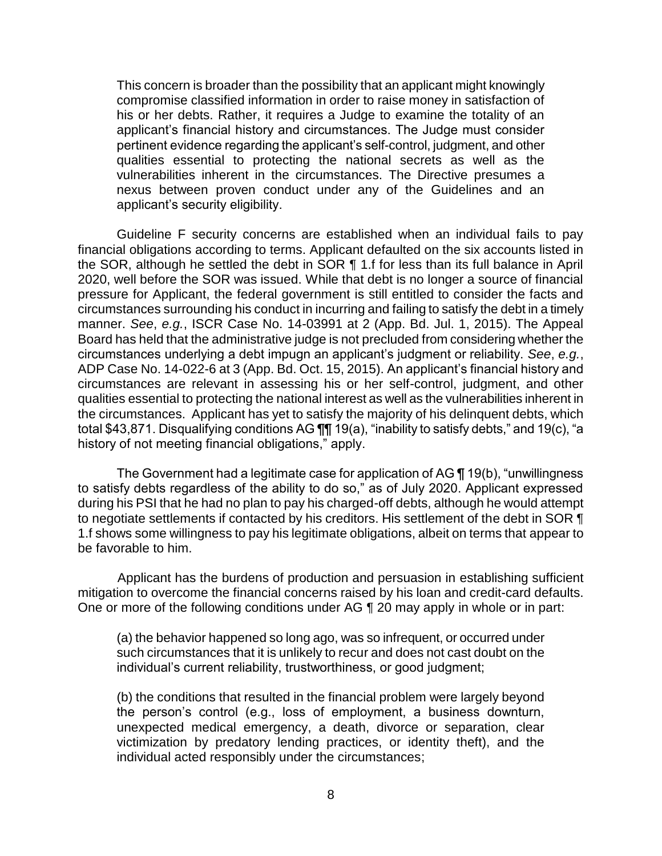This concern is broader than the possibility that an applicant might knowingly compromise classified information in order to raise money in satisfaction of his or her debts. Rather, it requires a Judge to examine the totality of an applicant's financial history and circumstances. The Judge must consider pertinent evidence regarding the applicant's self-control, judgment, and other qualities essential to protecting the national secrets as well as the vulnerabilities inherent in the circumstances. The Directive presumes a nexus between proven conduct under any of the Guidelines and an applicant's security eligibility.

Guideline F security concerns are established when an individual fails to pay financial obligations according to terms. Applicant defaulted on the six accounts listed in the SOR, although he settled the debt in SOR ¶ 1.f for less than its full balance in April 2020, well before the SOR was issued. While that debt is no longer a source of financial pressure for Applicant, the federal government is still entitled to consider the facts and circumstances surrounding his conduct in incurring and failing to satisfy the debt in a timely manner. *See*, *e.g.*, ISCR Case No. 14-03991 at 2 (App. Bd. Jul. 1, 2015). The Appeal Board has held that the administrative judge is not precluded from considering whether the circumstances underlying a debt impugn an applicant's judgment or reliability. *See*, *e.g.*, ADP Case No. 14-022-6 at 3 (App. Bd. Oct. 15, 2015). An applicant's financial history and circumstances are relevant in assessing his or her self-control, judgment, and other qualities essential to protecting the national interest as well as the vulnerabilities inherent in the circumstances. Applicant has yet to satisfy the majority of his delinquent debts, which total \$43,871. Disqualifying conditions AG ¶¶ 19(a), "inability to satisfy debts," and 19(c), "a history of not meeting financial obligations," apply.

The Government had a legitimate case for application of AG ¶ 19(b), "unwillingness to satisfy debts regardless of the ability to do so," as of July 2020. Applicant expressed during his PSI that he had no plan to pay his charged-off debts, although he would attempt to negotiate settlements if contacted by his creditors. His settlement of the debt in SOR ¶ 1.f shows some willingness to pay his legitimate obligations, albeit on terms that appear to be favorable to him.

 Applicant has the burdens of production and persuasion in establishing sufficient mitigation to overcome the financial concerns raised by his loan and credit-card defaults. One or more of the following conditions under AG ¶ 20 may apply in whole or in part:

(a) the behavior happened so long ago, was so infrequent, or occurred under such circumstances that it is unlikely to recur and does not cast doubt on the individual's current reliability, trustworthiness, or good judgment;

(b) the conditions that resulted in the financial problem were largely beyond the person's control (e.g., loss of employment, a business downturn, unexpected medical emergency, a death, divorce or separation, clear victimization by predatory lending practices, or identity theft), and the individual acted responsibly under the circumstances;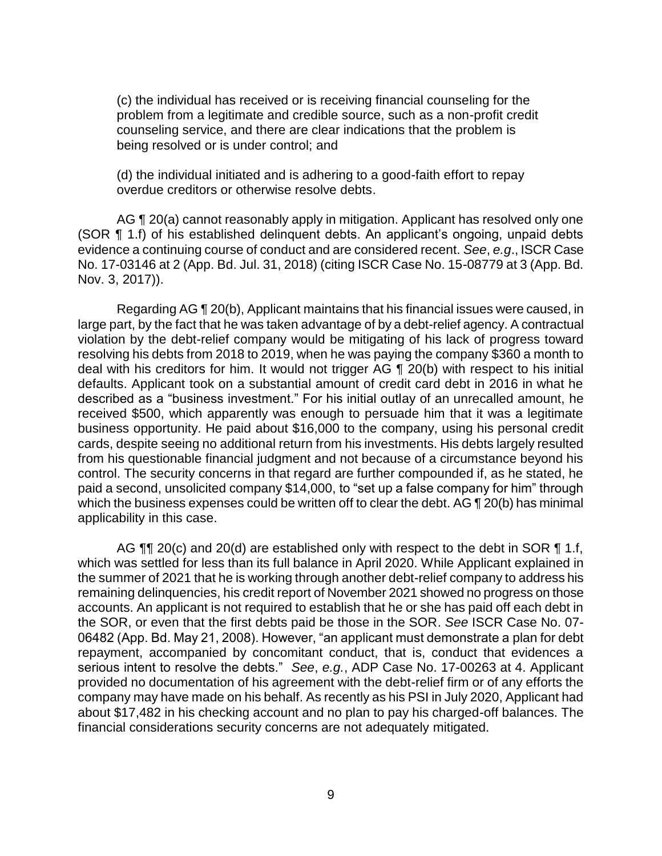(c) the individual has received or is receiving financial counseling for the problem from a legitimate and credible source, such as a non-profit credit counseling service, and there are clear indications that the problem is being resolved or is under control; and

(d) the individual initiated and is adhering to a good-faith effort to repay overdue creditors or otherwise resolve debts.

AG ¶ 20(a) cannot reasonably apply in mitigation. Applicant has resolved only one (SOR ¶ 1.f) of his established delinquent debts. An applicant's ongoing, unpaid debts evidence a continuing course of conduct and are considered recent. *See*, *e.g*., ISCR Case No. 17-03146 at 2 (App. Bd. Jul. 31, 2018) (citing ISCR Case No. 15-08779 at 3 (App. Bd. Nov. 3, 2017)).

 Regarding AG ¶ 20(b), Applicant maintains that his financial issues were caused, in large part, by the fact that he was taken advantage of by a debt-relief agency. A contractual violation by the debt-relief company would be mitigating of his lack of progress toward resolving his debts from 2018 to 2019, when he was paying the company \$360 a month to deal with his creditors for him. It would not trigger AG ¶ 20(b) with respect to his initial defaults. Applicant took on a substantial amount of credit card debt in 2016 in what he described as a "business investment." For his initial outlay of an unrecalled amount, he received \$500, which apparently was enough to persuade him that it was a legitimate business opportunity. He paid about \$16,000 to the company, using his personal credit cards, despite seeing no additional return from his investments. His debts largely resulted control. The security concerns in that regard are further compounded if, as he stated, he paid a second, unsolicited company \$14,000, to "set up a false company for him" through which the business expenses could be written off to clear the debt. AG ¶ 20(b) has minimal from his questionable financial judgment and not because of a circumstance beyond his applicability in this case.

AG  $\P$   $\Box$  20(c) and 20(d) are established only with respect to the debt in SOR  $\P$  1.f, which was settled for less than its full balance in April 2020. While Applicant explained in the summer of 2021 that he is working through another debt-relief company to address his remaining delinquencies, his credit report of November 2021 showed no progress on those accounts. An applicant is not required to establish that he or she has paid off each debt in the SOR, or even that the first debts paid be those in the SOR. *See* ISCR Case No. 07- 06482 (App. Bd. May 21, 2008). However, "an applicant must demonstrate a plan for debt repayment, accompanied by concomitant conduct, that is, conduct that evidences a serious intent to resolve the debts." *See*, *e.g.*, ADP Case No. 17-00263 at 4. Applicant provided no documentation of his agreement with the debt-relief firm or of any efforts the company may have made on his behalf. As recently as his PSI in July 2020, Applicant had about \$17,482 in his checking account and no plan to pay his charged-off balances. The financial considerations security concerns are not adequately mitigated.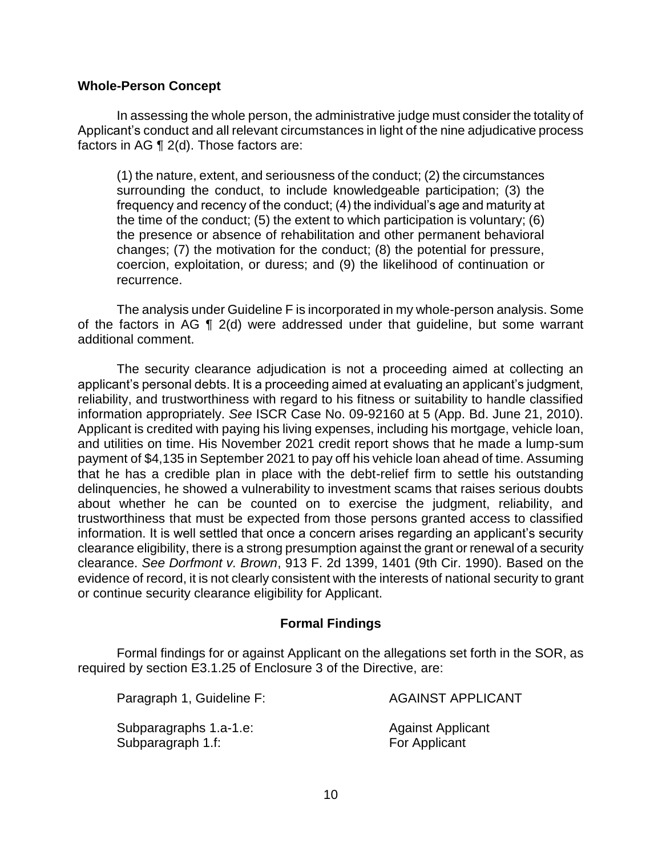## **Whole-Person Concept**

 In assessing the whole person, the administrative judge must consider the totality of Applicant's conduct and all relevant circumstances in light of the nine adjudicative process factors in AG ¶ 2(d). Those factors are:

(1) the nature, extent, and seriousness of the conduct; (2) the circumstances surrounding the conduct, to include knowledgeable participation; (3) the frequency and recency of the conduct; (4) the individual's age and maturity at the time of the conduct; (5) the extent to which participation is voluntary; (6) the presence or absence of rehabilitation and other permanent behavioral changes; (7) the motivation for the conduct; (8) the potential for pressure, coercion, exploitation, or duress; and (9) the likelihood of continuation or recurrence.

 The analysis under Guideline F is incorporated in my whole-person analysis. Some of the factors in AG ¶ 2(d) were addressed under that guideline, but some warrant additional comment.

The security clearance adjudication is not a proceeding aimed at collecting an applicant's personal debts. It is a proceeding aimed at evaluating an applicant's judgment, reliability, and trustworthiness with regard to his fitness or suitability to handle classified information appropriately. *See* ISCR Case No. 09-92160 at 5 (App. Bd. June 21, 2010). Applicant is credited with paying his living expenses, including his mortgage, vehicle loan, and utilities on time. His November 2021 credit report shows that he made a lump-sum payment of \$4,135 in September 2021 to pay off his vehicle loan ahead of time. Assuming that he has a credible plan in place with the debt-relief firm to settle his outstanding delinquencies, he showed a vulnerability to investment scams that raises serious doubts about whether he can be counted on to exercise the judgment, reliability, and trustworthiness that must be expected from those persons granted access to classified information. It is well settled that once a concern arises regarding an applicant's security clearance eligibility, there is a strong presumption against the grant or renewal of a security clearance. *See Dorfmont v. Brown*, 913 F. 2d 1399, 1401 (9th Cir. 1990). Based on the evidence of record, it is not clearly consistent with the interests of national security to grant or continue security clearance eligibility for Applicant.

## **Formal Findings**

 Formal findings for or against Applicant on the allegations set forth in the SOR, as required by section E3.1.25 of Enclosure 3 of the Directive, are:

Paragraph 1, Guideline F: AGAINST APPLICANT

Subparagraphs 1.a-1.e: Against Applicant Subparagraph 1.f: For Applicant